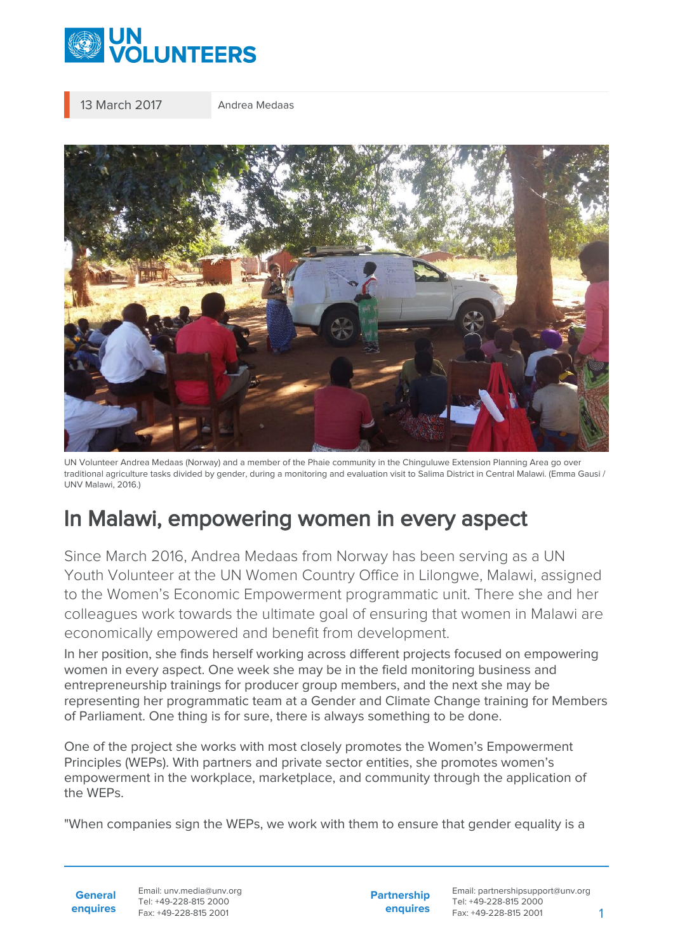

13 March 2017 Andrea Medaas



UN Volunteer Andrea Medaas (Norway) and a member of the Phaie community in the Chinguluwe Extension Planning Area go over traditional agriculture tasks divided by gender, during a monitoring and evaluation visit to Salima District in Central Malawi. (Emma Gausi / UNV Malawi, 2016.)

## In Malawi, empowering women in every aspect

Since March 2016, Andrea Medaas from Norway has been serving as a UN Youth Volunteer at the UN Women Country Office in Lilongwe, Malawi, assigned to the Women's Economic Empowerment programmatic unit. There she and her colleagues work towards the ultimate goal of ensuring that women in Malawi are economically empowered and benefit from development.

In her position, she finds herself working across different projects focused on empowering women in every aspect. One week she may be in the field monitoring business and entrepreneurship trainings for producer group members, and the next she may be representing her programmatic team at a Gender and Climate Change training for Members of Parliament. One thing is for sure, there is always something to be done.

One of the project she works with most closely promotes the Women's Empowerment Principles (WEPs). With partners and private sector entities, she promotes women's empowerment in the workplace, marketplace, and community through the application of the WEPs.

"When companies sign the WEPs, we work with them to ensure that gender equality is a

**General enquires** Email: unv.media@unv.org Tel: +49-228-815 2000 Fax: +49-228-815 2001

**Partnership enquires** Email: partnershipsupport@unv.org Tel: +49-228-815 2000 Fax: +49-228-815 2001 1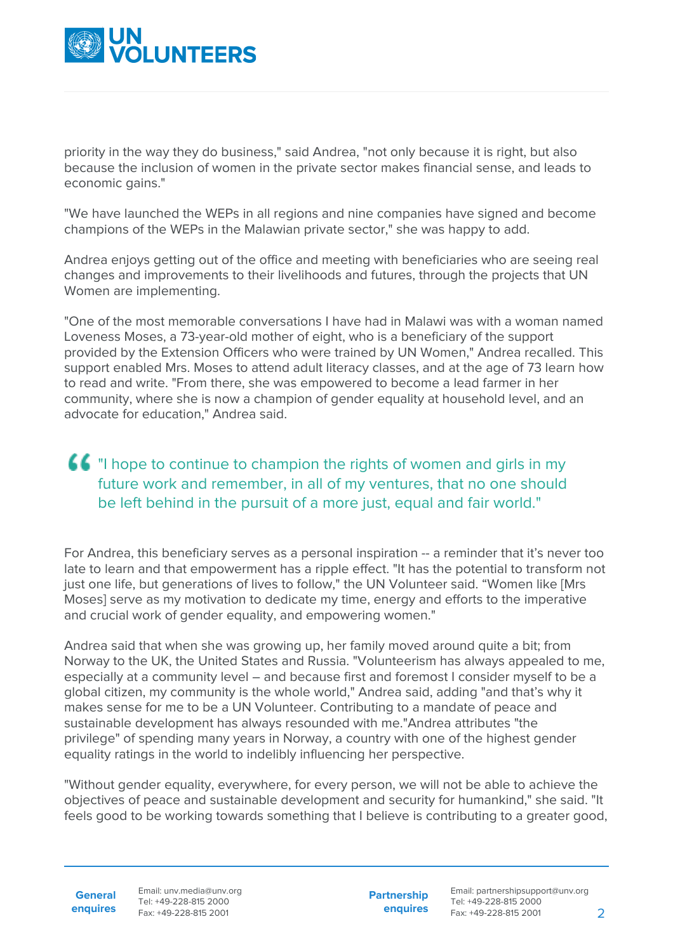

priority in the way they do business," said Andrea, "not only because it is right, but also because the inclusion of women in the private sector makes financial sense, and leads to economic gains."

"We have launched the WEPs in all regions and nine companies have signed and become champions of the WEPs in the Malawian private sector," she was happy to add.

Andrea enjoys getting out of the office and meeting with beneficiaries who are seeing real changes and improvements to their livelihoods and futures, through the projects that UN Women are implementing.

"One of the most memorable conversations I have had in Malawi was with a woman named Loveness Moses, a 73-year-old mother of eight, who is a beneficiary of the support provided by the Extension Officers who were trained by UN Women," Andrea recalled. This support enabled Mrs. Moses to attend adult literacy classes, and at the age of 73 learn how to read and write. "From there, she was empowered to become a lead farmer in her community, where she is now a champion of gender equality at household level, and an advocate for education," Andrea said.

## "I hope to continue to champion the rights of women and girls in my future work and remember, in all of my ventures, that no one should be left behind in the pursuit of a more just, equal and fair world."

For Andrea, this beneficiary serves as a personal inspiration -- a reminder that it's never too late to learn and that empowerment has a ripple effect. "It has the potential to transform not just one life, but generations of lives to follow," the UN Volunteer said. "Women like [Mrs Moses] serve as my motivation to dedicate my time, energy and efforts to the imperative and crucial work of gender equality, and empowering women."

Andrea said that when she was growing up, her family moved around quite a bit; from Norway to the UK, the United States and Russia. "Volunteerism has always appealed to me, especially at a community level – and because first and foremost I consider myself to be a global citizen, my community is the whole world," Andrea said, adding "and that's why it makes sense for me to be a UN Volunteer. Contributing to a mandate of peace and sustainable development has always resounded with me."Andrea attributes "the privilege" of spending many years in Norway, a country with one of the highest gender equality ratings in the world to indelibly influencing her perspective.

"Without gender equality, everywhere, for every person, we will not be able to achieve the objectives of peace and sustainable development and security for humankind," she said. "It feels good to be working towards something that I believe is contributing to a greater good,

**General enquires** Email: unv.media@unv.org Tel: +49-228-815 2000 Fax: +49-228-815 2001

**Partnership enquires**

Email: partnershipsupport@unv.org Tel: +49-228-815 2000 Fax: +49-228-815 2001 2